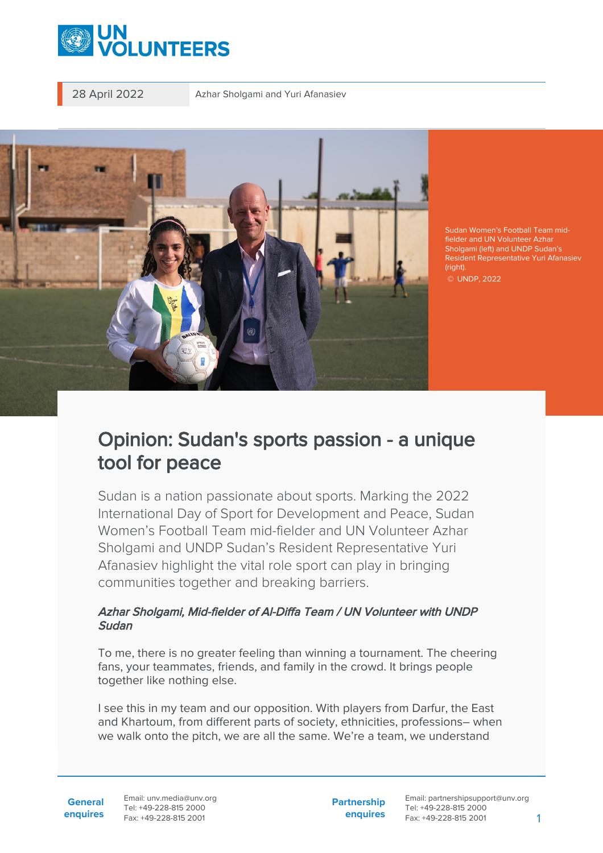

28 April 2022 Azhar Sholgami and Yuri Afanasiev



Sudan Women's Football Team midfielder and UN Volunteer Azhar Sholgami (left) and UNDP Sudan's Resident Representative Yuri Afanasiev (right).

© UNDP, 2022

## Opinion: Sudan's sports passion - a unique tool for peace

Sudan is a nation passionate about sports. Marking the 2022 International Day of Sport for Development and Peace, Sudan Women's Football Team mid-fielder and UN Volunteer Azhar Sholgami and UNDP Sudan's Resident Representative Yuri Afanasiev highlight the vital role sport can play in bringing communities together and breaking barriers.

## Azhar Sholgami, Mid-fielder of Al-Diffa Team / UN Volunteer with UNDP Sudan

To me, there is no greater feeling than winning a tournament. The cheering fans, your teammates, friends, and family in the crowd. It brings people together like nothing else.

I see this in my team and our opposition. With players from Darfur, the East and Khartoum, from different parts of society, ethnicities, professions– when we walk onto the pitch, we are all the same. We're a team, we understand

**Partnership enquires**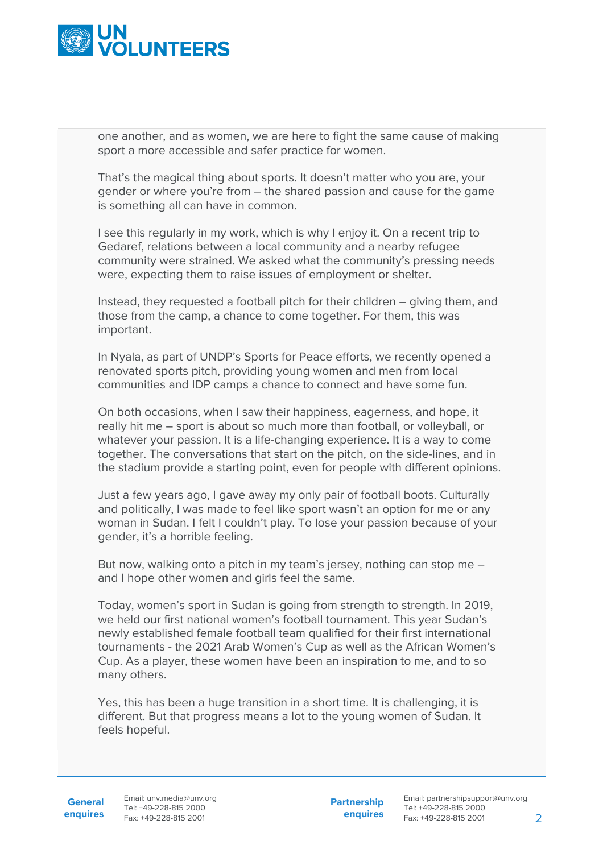

one another, and as women, we are here to fight the same cause of making sport a more accessible and safer practice for women.

That's the magical thing about sports. It doesn't matter who you are, your gender or where you're from – the shared passion and cause for the game is something all can have in common.

I see this regularly in my work, which is why I enjoy it. On a recent trip to Gedaref, relations between a local community and a nearby refugee community were strained. We asked what the community's pressing needs were, expecting them to raise issues of employment or shelter.

Instead, they requested a football pitch for their children – giving them, and those from the camp, a chance to come together. For them, this was important.

In Nyala, as part of UNDP's Sports for Peace efforts, we recently opened a renovated sports pitch, providing young women and men from local communities and IDP camps a chance to connect and have some fun.

On both occasions, when I saw their happiness, eagerness, and hope, it really hit me – sport is about so much more than football, or volleyball, or whatever your passion. It is a life-changing experience. It is a way to come together. The conversations that start on the pitch, on the side-lines, and in the stadium provide a starting point, even for people with different opinions.

Just a few years ago, I gave away my only pair of football boots. Culturally and politically, I was made to feel like sport wasn't an option for me or any woman in Sudan. I felt I couldn't play. To lose your passion because of your gender, it's a horrible feeling.

But now, walking onto a pitch in my team's jersey, nothing can stop me – and I hope other women and girls feel the same.

Today, women's sport in Sudan is going from strength to strength. In 2019, we held our first national women's football tournament. This year Sudan's newly established female football team qualified for their first international tournaments - the 2021 Arab Women's Cup as well as the African Women's Cup. As a player, these women have been an inspiration to me, and to so many others.

Yes, this has been a huge transition in a short time. It is challenging, it is different. But that progress means a lot to the young women of Sudan. It feels hopeful.

**General**

**enquires** Fax: +49-228-815 2001 Email: unv.media@unv.org Tel: +49-228-815 2000

**Partnership enquires**

Email: partnershipsupport@unv.org Tel: +49-228-815 2000 Fax: +49-228-815 2001 2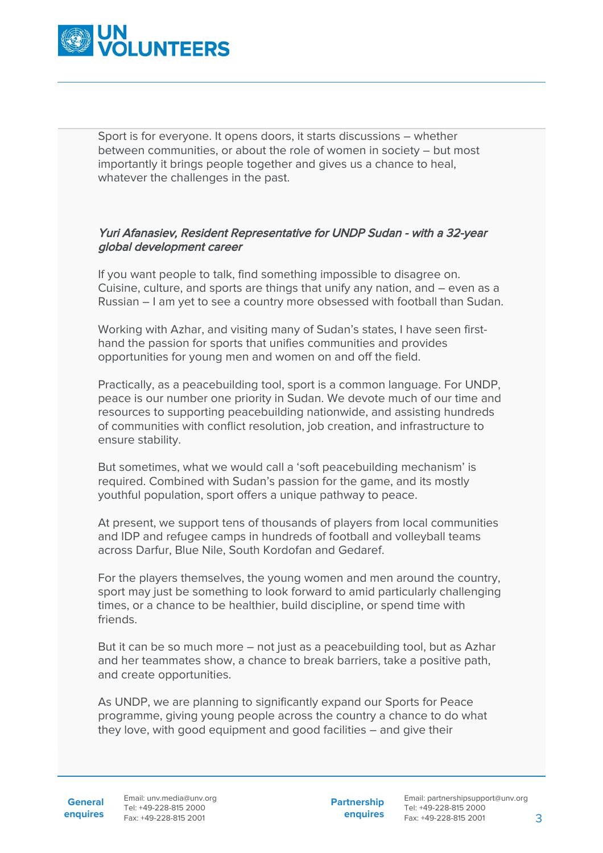

Sport is for everyone. It opens doors, it starts discussions – whether between communities, or about the role of women in society – but most importantly it brings people together and gives us a chance to heal. whatever the challenges in the past.

## Yuri Afanasiev, Resident Representative for UNDP Sudan - with a 32-year global development career

If you want people to talk, find something impossible to disagree on. Cuisine, culture, and sports are things that unify any nation, and – even as a Russian – I am yet to see a country more obsessed with football than Sudan.

Working with Azhar, and visiting many of Sudan's states, I have seen firsthand the passion for sports that unifies communities and provides opportunities for young men and women on and off the field.

Practically, as a peacebuilding tool, sport is a common language. For UNDP, peace is our number one priority in Sudan. We devote much of our time and resources to supporting peacebuilding nationwide, and assisting hundreds of communities with conflict resolution, job creation, and infrastructure to ensure stability.

But sometimes, what we would call a 'soft peacebuilding mechanism' is required. Combined with Sudan's passion for the game, and its mostly youthful population, sport offers a unique pathway to peace.

At present, we support tens of thousands of players from local communities and IDP and refugee camps in hundreds of football and volleyball teams across Darfur, Blue Nile, South Kordofan and Gedaref.

For the players themselves, the young women and men around the country, sport may just be something to look forward to amid particularly challenging times, or a chance to be healthier, build discipline, or spend time with friends.

But it can be so much more – not just as a peacebuilding tool, but as Azhar and her teammates show, a chance to break barriers, take a positive path, and create opportunities.

As UNDP, we are planning to significantly expand our Sports for Peace programme, giving young people across the country a chance to do what they love, with good equipment and good facilities – and give their

**Partnership enquires**